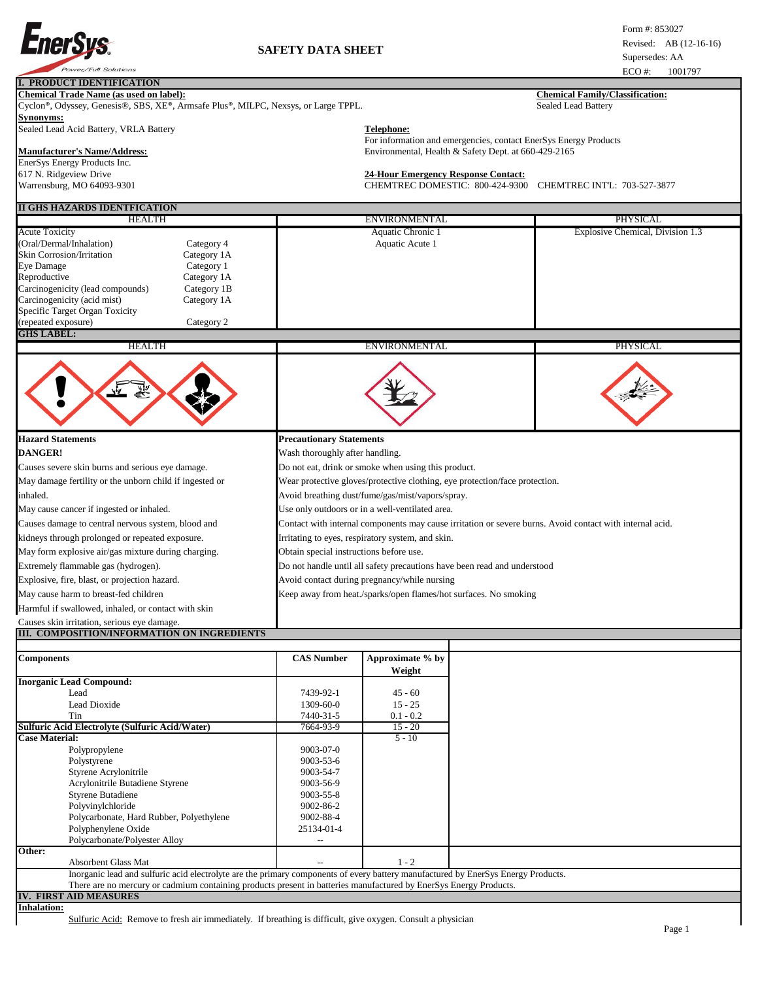

## **I. PRODUCT IDENTIFICATION**

#### **Chemical Trade Name (as used on label): Chemical Family/Classification:**

Cyclon®, Odyssey, Genesis®, SBS, XE®, Armsafe Plus®, MILPC, Nexsys, or Large TPPL. Sealed Lead Battery **Synonyms:**

Sealed Lead Acid Battery, VRLA Battery **Telephone:** 

# **Manufacturer's Name/Address:** Environmental, Health & Safety Dept. at 660-429-2165

EnerSys Energy Products Inc. 617 N. Ridgeview Drive **24-Hour Emergency Response Contact:** Warrensburg, MO 64093-9301 CHEMTREC DOMESTIC: 800-424-9300 CHEMTREC INT'L: 703-527-3877

### **II GHS HAZARDS IDENTFICATION**

| II GHS HAZANDS IDEN I FICATION                                                                                                                                                                                                                                                                                                                        |                                                                                                          |                                                                          |  |  |  |  |
|-------------------------------------------------------------------------------------------------------------------------------------------------------------------------------------------------------------------------------------------------------------------------------------------------------------------------------------------------------|----------------------------------------------------------------------------------------------------------|--------------------------------------------------------------------------|--|--|--|--|
| <b>HEALTH</b>                                                                                                                                                                                                                                                                                                                                         | <b>ENVIRONMENTAL</b>                                                                                     | <b>PHYSICAL</b>                                                          |  |  |  |  |
| <b>Acute Toxicity</b><br>(Oral/Dermal/Inhalation)<br>Category 4<br><b>Skin Corrosion/Irritation</b><br>Category 1A<br>Eye Damage<br>Category 1<br>Reproductive<br>Category 1A<br>Carcinogenicity (lead compounds)<br>Category 1B<br>Carcinogenicity (acid mist)<br>Category 1A<br>Specific Target Organ Toxicity<br>(repeated exposure)<br>Category 2 | Aquatic Chronic 1<br>Aquatic Acute 1                                                                     | Explosive Chemical, Division 1.3                                         |  |  |  |  |
| <b>GHS LABEL</b>                                                                                                                                                                                                                                                                                                                                      |                                                                                                          |                                                                          |  |  |  |  |
| <b>HEALTH</b>                                                                                                                                                                                                                                                                                                                                         | <b>ENVIRONMENTAL</b>                                                                                     | <b>PHYSICAL</b>                                                          |  |  |  |  |
|                                                                                                                                                                                                                                                                                                                                                       |                                                                                                          |                                                                          |  |  |  |  |
| <b>Hazard Statements</b>                                                                                                                                                                                                                                                                                                                              | <b>Precautionary Statements</b>                                                                          |                                                                          |  |  |  |  |
| <b>DANGER!</b>                                                                                                                                                                                                                                                                                                                                        | Wash thoroughly after handling.                                                                          |                                                                          |  |  |  |  |
| Causes severe skin burns and serious eye damage.                                                                                                                                                                                                                                                                                                      | Do not eat, drink or smoke when using this product.                                                      |                                                                          |  |  |  |  |
| May damage fertility or the unborn child if ingested or                                                                                                                                                                                                                                                                                               | Wear protective gloves/protective clothing, eye protection/face protection.                              |                                                                          |  |  |  |  |
| inhaled.                                                                                                                                                                                                                                                                                                                                              | Avoid breathing dust/fume/gas/mist/vapors/spray.                                                         |                                                                          |  |  |  |  |
| May cause cancer if ingested or inhaled.                                                                                                                                                                                                                                                                                                              | Use only outdoors or in a well-ventilated area.                                                          |                                                                          |  |  |  |  |
| Causes damage to central nervous system, blood and                                                                                                                                                                                                                                                                                                    | Contact with internal components may cause irritation or severe burns. Avoid contact with internal acid. |                                                                          |  |  |  |  |
| kidneys through prolonged or repeated exposure.                                                                                                                                                                                                                                                                                                       | Irritating to eyes, respiratory system, and skin.                                                        |                                                                          |  |  |  |  |
| May form explosive air/gas mixture during charging.                                                                                                                                                                                                                                                                                                   | Obtain special instructions before use.                                                                  |                                                                          |  |  |  |  |
| Extremely flammable gas (hydrogen).                                                                                                                                                                                                                                                                                                                   |                                                                                                          | Do not handle until all safety precautions have been read and understood |  |  |  |  |
| Explosive, fire, blast, or projection hazard.                                                                                                                                                                                                                                                                                                         | Avoid contact during pregnancy/while nursing                                                             |                                                                          |  |  |  |  |
| May cause harm to breast-fed children                                                                                                                                                                                                                                                                                                                 | Keep away from heat./sparks/open flames/hot surfaces. No smoking                                         |                                                                          |  |  |  |  |
| Harmful if swallowed, inhaled, or contact with skin                                                                                                                                                                                                                                                                                                   |                                                                                                          |                                                                          |  |  |  |  |
| Causes skin irritation, serious eye damage.                                                                                                                                                                                                                                                                                                           |                                                                                                          |                                                                          |  |  |  |  |

For information and emergencies, contact EnerSys Energy Products

### **III. COMPOSITION/INFORMATION ON INGREDIENTS**

| <b>Components</b>                                                                                                                 | <b>CAS Number</b> | Approximate % by |  |
|-----------------------------------------------------------------------------------------------------------------------------------|-------------------|------------------|--|
|                                                                                                                                   |                   | Weight           |  |
| <b>Inorganic Lead Compound:</b>                                                                                                   |                   |                  |  |
| Lead                                                                                                                              | 7439-92-1         | $45 - 60$        |  |
| Lead Dioxide                                                                                                                      | $1309 - 60 - 0$   | $15 - 25$        |  |
| Tin                                                                                                                               | 7440-31-5         | $0.1 - 0.2$      |  |
| <b>Sulfuric Acid Electrolyte (Sulfuric Acid/Water)</b>                                                                            | 7664-93-9         | $15 - 20$        |  |
| <b>Case Material:</b>                                                                                                             |                   | $5 - 10$         |  |
| Polypropylene                                                                                                                     | 9003-07-0         |                  |  |
| Polystyrene                                                                                                                       | 9003-53-6         |                  |  |
| Styrene Acrylonitrile                                                                                                             | 9003-54-7         |                  |  |
| Acrylonitrile Butadiene Styrene                                                                                                   | 9003-56-9         |                  |  |
| <b>Styrene Butadiene</b>                                                                                                          | 9003-55-8         |                  |  |
| Polyvinylchloride                                                                                                                 | 9002-86-2         |                  |  |
| Polycarbonate, Hard Rubber, Polyethylene                                                                                          | 9002-88-4         |                  |  |
| Polyphenylene Oxide                                                                                                               | 25134-01-4        |                  |  |
| Polycarbonate/Polyester Alloy                                                                                                     |                   |                  |  |
| Other:                                                                                                                            |                   |                  |  |
| <b>Absorbent Glass Mat</b>                                                                                                        |                   | $1 - 2$          |  |
| Inorganic lead and sulfuric acid electrolyte are the primary components of every battery manufactured by EnerSys Energy Products. |                   |                  |  |
| There are no mercury or cadmium containing products present in batteries manufactured by EnerSys Energy Products.                 |                   |                  |  |
| <b>IV. FIRST AID MEASURES</b>                                                                                                     |                   |                  |  |
| <b>Inhalation:</b>                                                                                                                |                   |                  |  |
| Sulfuric Acid: Remove to fresh air immediately. If breathing is difficult, give oxygen. Consult a physician                       |                   |                  |  |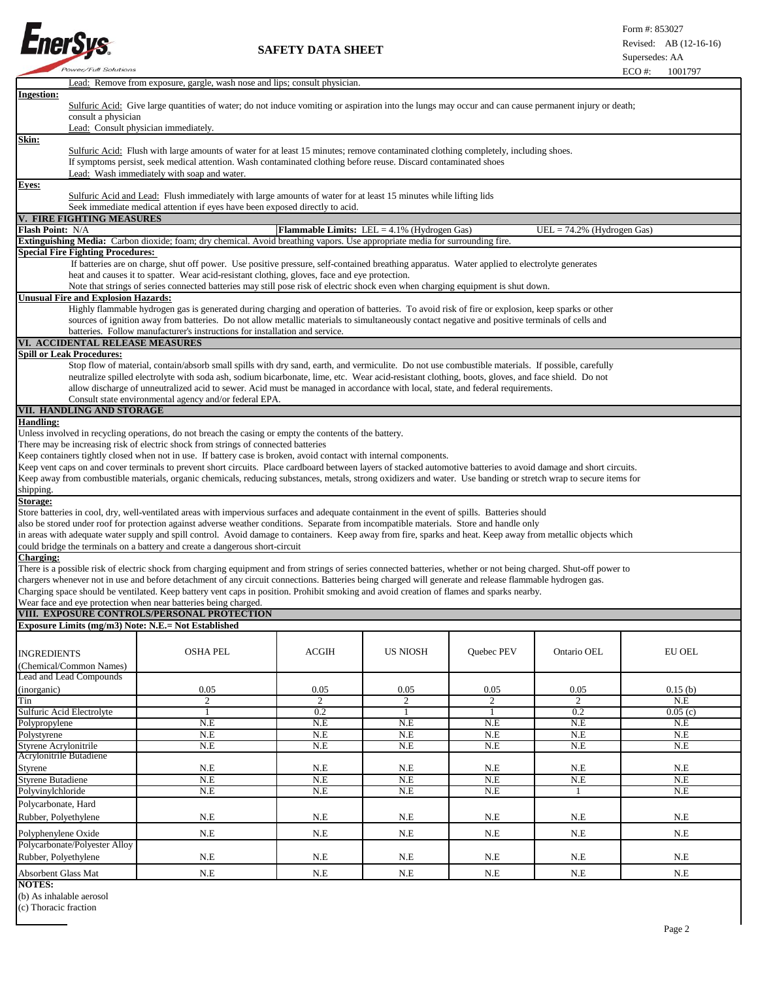

 **SAFETY DATA SHEET**

|                                                                                                                                                                                                                                                         | Lead: Remove from exposure, gargle, wash nose and lips; consult physician.                                                                                                                    |                |                 |            |                |               |  |
|---------------------------------------------------------------------------------------------------------------------------------------------------------------------------------------------------------------------------------------------------------|-----------------------------------------------------------------------------------------------------------------------------------------------------------------------------------------------|----------------|-----------------|------------|----------------|---------------|--|
| <b>Ingestion:</b>                                                                                                                                                                                                                                       | Sulfuric Acid: Give large quantities of water; do not induce vomiting or aspiration into the lungs may occur and can cause permanent injury or death;                                         |                |                 |            |                |               |  |
|                                                                                                                                                                                                                                                         |                                                                                                                                                                                               |                |                 |            |                |               |  |
|                                                                                                                                                                                                                                                         | consult a physician                                                                                                                                                                           |                |                 |            |                |               |  |
| Lead: Consult physician immediately.                                                                                                                                                                                                                    |                                                                                                                                                                                               |                |                 |            |                |               |  |
| Skin:                                                                                                                                                                                                                                                   |                                                                                                                                                                                               |                |                 |            |                |               |  |
| Sulfuric Acid: Flush with large amounts of water for at least 15 minutes; remove contaminated clothing completely, including shoes.<br>If symptoms persist, seek medical attention. Wash contaminated clothing before reuse. Discard contaminated shoes |                                                                                                                                                                                               |                |                 |            |                |               |  |
| Lead: Wash immediately with soap and water.                                                                                                                                                                                                             |                                                                                                                                                                                               |                |                 |            |                |               |  |
| Eyes:                                                                                                                                                                                                                                                   |                                                                                                                                                                                               |                |                 |            |                |               |  |
| Sulfuric Acid and Lead: Flush immediately with large amounts of water for at least 15 minutes while lifting lids                                                                                                                                        |                                                                                                                                                                                               |                |                 |            |                |               |  |
| Seek immediate medical attention if eyes have been exposed directly to acid.                                                                                                                                                                            |                                                                                                                                                                                               |                |                 |            |                |               |  |
| <b>V. FIRE FIGHTING MEASURES</b>                                                                                                                                                                                                                        |                                                                                                                                                                                               |                |                 |            |                |               |  |
| Flash Point: N/A                                                                                                                                                                                                                                        | <b>Flammable Limits:</b> LEL = $4.1\%$ (Hydrogen Gas)<br>$UEL = 74.2\%$ (Hydrogen Gas)                                                                                                        |                |                 |            |                |               |  |
| Extinguishing Media: Carbon dioxide; foam; dry chemical. Avoid breathing vapors. Use appropriate media for surrounding fire.                                                                                                                            |                                                                                                                                                                                               |                |                 |            |                |               |  |
| <b>Special Fire Fighting Procedures:</b>                                                                                                                                                                                                                |                                                                                                                                                                                               |                |                 |            |                |               |  |
|                                                                                                                                                                                                                                                         | If batteries are on charge, shut off power. Use positive pressure, self-contained breathing apparatus. Water applied to electrolyte generates                                                 |                |                 |            |                |               |  |
|                                                                                                                                                                                                                                                         | heat and causes it to spatter. Wear acid-resistant clothing, gloves, face and eye protection.                                                                                                 |                |                 |            |                |               |  |
|                                                                                                                                                                                                                                                         | Note that strings of series connected batteries may still pose risk of electric shock even when charging equipment is shut down.                                                              |                |                 |            |                |               |  |
| Unusual Fire and Explosion Hazards:                                                                                                                                                                                                                     |                                                                                                                                                                                               |                |                 |            |                |               |  |
|                                                                                                                                                                                                                                                         | Highly flammable hydrogen gas is generated during charging and operation of batteries. To avoid risk of fire or explosion, keep sparks or other                                               |                |                 |            |                |               |  |
|                                                                                                                                                                                                                                                         | sources of ignition away from batteries. Do not allow metallic materials to simultaneously contact negative and positive terminals of cells and                                               |                |                 |            |                |               |  |
|                                                                                                                                                                                                                                                         | batteries. Follow manufacturer's instructions for installation and service.                                                                                                                   |                |                 |            |                |               |  |
| VI. ACCIDENTAL RELEASE MEASURES                                                                                                                                                                                                                         |                                                                                                                                                                                               |                |                 |            |                |               |  |
| <b>Spill or Leak Procedures:</b>                                                                                                                                                                                                                        |                                                                                                                                                                                               |                |                 |            |                |               |  |
|                                                                                                                                                                                                                                                         | Stop flow of material, contain/absorb small spills with dry sand, earth, and vermiculite. Do not use combustible materials. If possible, carefully                                            |                |                 |            |                |               |  |
|                                                                                                                                                                                                                                                         | neutralize spilled electrolyte with soda ash, sodium bicarbonate, lime, etc. Wear acid-resistant clothing, boots, gloves, and face shield. Do not                                             |                |                 |            |                |               |  |
|                                                                                                                                                                                                                                                         | allow discharge of unneutralized acid to sewer. Acid must be managed in accordance with local, state, and federal requirements.                                                               |                |                 |            |                |               |  |
|                                                                                                                                                                                                                                                         | Consult state environmental agency and/or federal EPA.                                                                                                                                        |                |                 |            |                |               |  |
| VII. HANDLING AND STORAGE                                                                                                                                                                                                                               |                                                                                                                                                                                               |                |                 |            |                |               |  |
| <b>Handling:</b>                                                                                                                                                                                                                                        |                                                                                                                                                                                               |                |                 |            |                |               |  |
|                                                                                                                                                                                                                                                         | Unless involved in recycling operations, do not breach the casing or empty the contents of the battery.<br>There may be increasing risk of electric shock from strings of connected batteries |                |                 |            |                |               |  |
|                                                                                                                                                                                                                                                         | Keep containers tightly closed when not in use. If battery case is broken, avoid contact with internal components.                                                                            |                |                 |            |                |               |  |
|                                                                                                                                                                                                                                                         | Keep vent caps on and cover terminals to prevent short circuits. Place cardboard between layers of stacked automotive batteries to avoid damage and short circuits.                           |                |                 |            |                |               |  |
|                                                                                                                                                                                                                                                         | Keep away from combustible materials, organic chemicals, reducing substances, metals, strong oxidizers and water. Use banding or stretch wrap to secure items for                             |                |                 |            |                |               |  |
| shipping.                                                                                                                                                                                                                                               |                                                                                                                                                                                               |                |                 |            |                |               |  |
| Storage:                                                                                                                                                                                                                                                |                                                                                                                                                                                               |                |                 |            |                |               |  |
|                                                                                                                                                                                                                                                         | Store batteries in cool, dry, well-ventilated areas with impervious surfaces and adequate containment in the event of spills. Batteries should                                                |                |                 |            |                |               |  |
|                                                                                                                                                                                                                                                         | also be stored under roof for protection against adverse weather conditions. Separate from incompatible materials. Store and handle only                                                      |                |                 |            |                |               |  |
|                                                                                                                                                                                                                                                         | in areas with adequate water supply and spill control. Avoid damage to containers. Keep away from fire, sparks and heat. Keep away from metallic objects which                                |                |                 |            |                |               |  |
|                                                                                                                                                                                                                                                         | could bridge the terminals on a battery and create a dangerous short-circuit                                                                                                                  |                |                 |            |                |               |  |
| <b>Charging:</b>                                                                                                                                                                                                                                        |                                                                                                                                                                                               |                |                 |            |                |               |  |
|                                                                                                                                                                                                                                                         | There is a possible risk of electric shock from charging equipment and from strings of series connected batteries, whether or not being charged. Shut-off power to                            |                |                 |            |                |               |  |
|                                                                                                                                                                                                                                                         | chargers whenever not in use and before detachment of any circuit connections. Batteries being charged will generate and release flammable hydrogen gas.                                      |                |                 |            |                |               |  |
|                                                                                                                                                                                                                                                         | Charging space should be ventilated. Keep battery vent caps in position. Prohibit smoking and avoid creation of flames and sparks nearby.                                                     |                |                 |            |                |               |  |
|                                                                                                                                                                                                                                                         | Wear face and eye protection when near batteries being charged.                                                                                                                               |                |                 |            |                |               |  |
| VIII. EXPOSURE CONTROLS/PERSONAL PROTECTION                                                                                                                                                                                                             |                                                                                                                                                                                               |                |                 |            |                |               |  |
| Exposure Limits (mg/m3) Note: N.E.= Not Established                                                                                                                                                                                                     |                                                                                                                                                                                               |                |                 |            |                |               |  |
|                                                                                                                                                                                                                                                         |                                                                                                                                                                                               |                |                 |            |                |               |  |
| <b>INGREDIENTS</b>                                                                                                                                                                                                                                      | <b>OSHA PEL</b>                                                                                                                                                                               | ACGIH          | <b>US NIOSH</b> | Quebec PEV | Ontario OEL    | <b>EU OEL</b> |  |
| (Chemical/Common Names)                                                                                                                                                                                                                                 |                                                                                                                                                                                               |                |                 |            |                |               |  |
| Lead and Lead Compounds                                                                                                                                                                                                                                 |                                                                                                                                                                                               |                |                 |            |                |               |  |
| (inorganic)                                                                                                                                                                                                                                             | 0.05                                                                                                                                                                                          | 0.05           | 0.05            | 0.05       | 0.05           | 0.15(b)       |  |
| Tin                                                                                                                                                                                                                                                     | $\overline{2}$                                                                                                                                                                                | $\overline{2}$ | $\overline{2}$  | 2          | $\overline{2}$ | N.E           |  |
| Sulfuric Acid Electrolyte                                                                                                                                                                                                                               | -1                                                                                                                                                                                            | 0.2            | 1               | 1          | 0.2            | 0.05(c)       |  |
| Polypropylene                                                                                                                                                                                                                                           | N.E                                                                                                                                                                                           | N.E            | N.E             | N.E        | N.E            | N.E           |  |
| Polystyrene                                                                                                                                                                                                                                             | N.E                                                                                                                                                                                           | N.E            | N.E             | N.E        | N.E            | N.E           |  |
| Styrene Acrylonitrile                                                                                                                                                                                                                                   | N.E                                                                                                                                                                                           | N.E            | N.E             | N.E        | N.E            | N.E           |  |
| Acrylonitrile Butadiene                                                                                                                                                                                                                                 |                                                                                                                                                                                               |                |                 |            |                |               |  |
| Styrene                                                                                                                                                                                                                                                 | N.E                                                                                                                                                                                           | N.E            | N.E             | N.E        | N.E            | N.E           |  |
| <b>Styrene Butadiene</b>                                                                                                                                                                                                                                | N.E                                                                                                                                                                                           | N.E            | N.E             | N.E        | N.E            | N.E           |  |
| Polyvinylchloride                                                                                                                                                                                                                                       | N.E                                                                                                                                                                                           | N.E            | N.E             | N.E        | 1              | N.E           |  |
| Polycarbonate, Hard                                                                                                                                                                                                                                     |                                                                                                                                                                                               |                |                 |            |                |               |  |
| Rubber, Polyethylene                                                                                                                                                                                                                                    | N.E                                                                                                                                                                                           | $N.E$          | N.E             | N.E        | $N.E$          | N.E           |  |
|                                                                                                                                                                                                                                                         |                                                                                                                                                                                               |                |                 |            |                |               |  |
| Polyphenylene Oxide<br>Polycarbonate/Polyester Alloy                                                                                                                                                                                                    | N.E                                                                                                                                                                                           | N.E            | N.E             | N.E        | N.E            | N.E           |  |
|                                                                                                                                                                                                                                                         |                                                                                                                                                                                               |                |                 |            |                |               |  |
| Rubber, Polyethylene                                                                                                                                                                                                                                    | N.E                                                                                                                                                                                           | N.E            | N.E             | N.E        | N.E            | N.E           |  |
| N.E<br>$N.E$<br>N.E<br>$N.E$<br>N.E<br>Absorbent Glass Mat<br>N.E                                                                                                                                                                                       |                                                                                                                                                                                               |                |                 |            |                |               |  |
| <b>NOTES:</b>                                                                                                                                                                                                                                           |                                                                                                                                                                                               |                |                 |            |                |               |  |

(b) As inhalable aerosol

(c) Thoracic fraction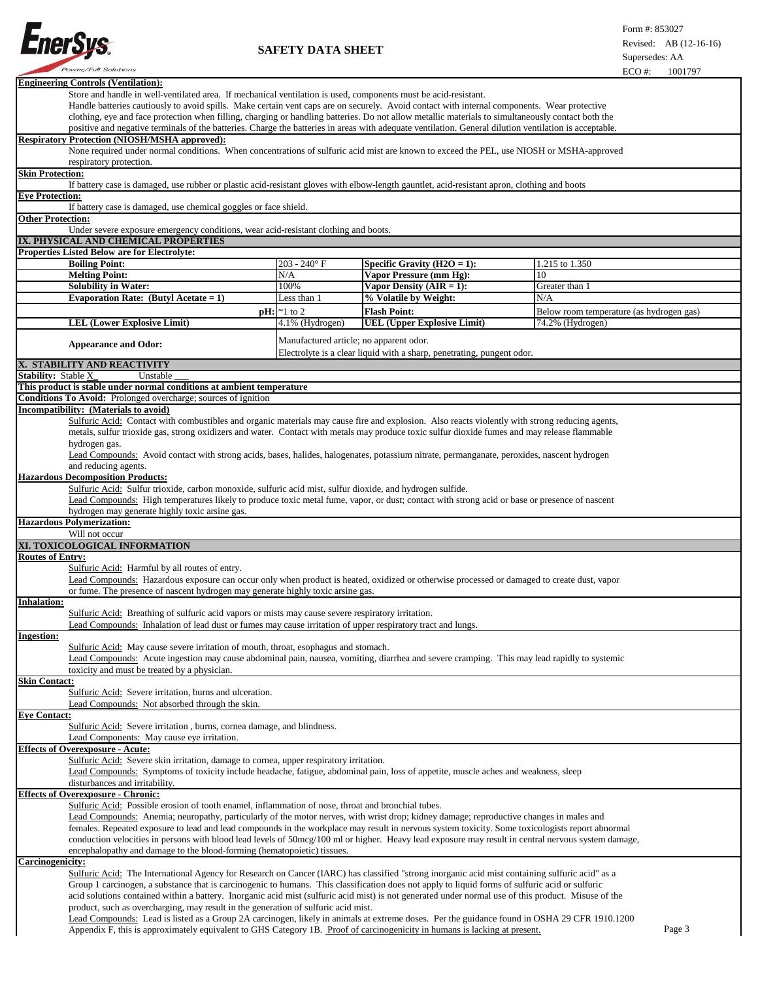

| <b>Engineering Controls (Ventilation):</b>                                                                                                                                                                                                                                                       |                                                                                                                                                     |                                                                        |                                          |  |  |
|--------------------------------------------------------------------------------------------------------------------------------------------------------------------------------------------------------------------------------------------------------------------------------------------------|-----------------------------------------------------------------------------------------------------------------------------------------------------|------------------------------------------------------------------------|------------------------------------------|--|--|
| Store and handle in well-ventilated area. If mechanical ventilation is used, components must be acid-resistant.                                                                                                                                                                                  |                                                                                                                                                     |                                                                        |                                          |  |  |
| Handle batteries cautiously to avoid spills. Make certain vent caps are on securely. Avoid contact with internal components. Wear protective                                                                                                                                                     |                                                                                                                                                     |                                                                        |                                          |  |  |
| clothing, eye and face protection when filling, charging or handling batteries. Do not allow metallic materials to simultaneously contact both the                                                                                                                                               |                                                                                                                                                     |                                                                        |                                          |  |  |
| positive and negative terminals of the batteries. Charge the batteries in areas with adequate ventilation. General dilution ventilation is acceptable.<br><b>Respiratory Protection (NIOSH/MSHA approved):</b>                                                                                   |                                                                                                                                                     |                                                                        |                                          |  |  |
| None required under normal conditions. When concentrations of sulfuric acid mist are known to exceed the PEL, use NIOSH or MSHA-approved                                                                                                                                                         |                                                                                                                                                     |                                                                        |                                          |  |  |
| respiratory protection.                                                                                                                                                                                                                                                                          |                                                                                                                                                     |                                                                        |                                          |  |  |
| <b>Skin Protection:</b>                                                                                                                                                                                                                                                                          |                                                                                                                                                     |                                                                        |                                          |  |  |
| If battery case is damaged, use rubber or plastic acid-resistant gloves with elbow-length gauntlet, acid-resistant apron, clothing and boots                                                                                                                                                     |                                                                                                                                                     |                                                                        |                                          |  |  |
| <b>Eye Protection:</b>                                                                                                                                                                                                                                                                           |                                                                                                                                                     |                                                                        |                                          |  |  |
| If battery case is damaged, use chemical goggles or face shield.                                                                                                                                                                                                                                 |                                                                                                                                                     |                                                                        |                                          |  |  |
| <b>Other Protection:</b>                                                                                                                                                                                                                                                                         |                                                                                                                                                     |                                                                        |                                          |  |  |
|                                                                                                                                                                                                                                                                                                  | Under severe exposure emergency conditions, wear acid-resistant clothing and boots.                                                                 |                                                                        |                                          |  |  |
| IX. PHYSICAL AND CHEMICAL PROPERTIES                                                                                                                                                                                                                                                             |                                                                                                                                                     |                                                                        |                                          |  |  |
| <b>Properties Listed Below are for Electrolyte:</b>                                                                                                                                                                                                                                              |                                                                                                                                                     |                                                                        |                                          |  |  |
| <b>Boiling Point:</b><br><b>Melting Point:</b>                                                                                                                                                                                                                                                   | $203 - 240$ °F<br>N/A                                                                                                                               | Specific Gravity ( $H2O = 1$ ):<br><b>Vapor Pressure (mm Hg):</b>      | 1.215 to 1.350<br>10                     |  |  |
| <b>Solubility in Water:</b>                                                                                                                                                                                                                                                                      | 100%                                                                                                                                                | Vapor Density $(AIR = 1)$ :                                            | Greater than 1                           |  |  |
| Evaporation Rate: (Butyl Acetate = 1)                                                                                                                                                                                                                                                            | Less than 1                                                                                                                                         | % Volatile by Weight:                                                  | N/A                                      |  |  |
|                                                                                                                                                                                                                                                                                                  | $\mathbf{p}$ H: $\approx$ 1 to 2                                                                                                                    | <b>Flash Point:</b>                                                    | Below room temperature (as hydrogen gas) |  |  |
| <b>LEL (Lower Explosive Limit)</b>                                                                                                                                                                                                                                                               | 4.1% (Hydrogen)                                                                                                                                     | <b>UEL (Upper Explosive Limit)</b>                                     | 74.2% (Hydrogen)                         |  |  |
|                                                                                                                                                                                                                                                                                                  |                                                                                                                                                     |                                                                        |                                          |  |  |
| <b>Appearance and Odor:</b>                                                                                                                                                                                                                                                                      | Manufactured article; no apparent odor.                                                                                                             |                                                                        |                                          |  |  |
|                                                                                                                                                                                                                                                                                                  |                                                                                                                                                     | Electrolyte is a clear liquid with a sharp, penetrating, pungent odor. |                                          |  |  |
| X. STABILITY AND REACTIVITY                                                                                                                                                                                                                                                                      |                                                                                                                                                     |                                                                        |                                          |  |  |
| Stability: Stable X<br>Unstable                                                                                                                                                                                                                                                                  |                                                                                                                                                     |                                                                        |                                          |  |  |
| This product is stable under normal conditions at ambient temperature                                                                                                                                                                                                                            |                                                                                                                                                     |                                                                        |                                          |  |  |
| <b>Conditions To Avoid:</b> Prolonged overcharge; sources of ignition                                                                                                                                                                                                                            |                                                                                                                                                     |                                                                        |                                          |  |  |
| Incompatibility: (Materials to avoid)                                                                                                                                                                                                                                                            |                                                                                                                                                     |                                                                        |                                          |  |  |
| Sulfuric Acid: Contact with combustibles and organic materials may cause fire and explosion. Also reacts violently with strong reducing agents,<br>metals, sulfur trioxide gas, strong oxidizers and water. Contact with metals may produce toxic sulfur dioxide fumes and may release flammable |                                                                                                                                                     |                                                                        |                                          |  |  |
| hydrogen gas.                                                                                                                                                                                                                                                                                    |                                                                                                                                                     |                                                                        |                                          |  |  |
| Lead Compounds: Avoid contact with strong acids, bases, halides, halogenates, potassium nitrate, permanganate, peroxides, nascent hydrogen                                                                                                                                                       |                                                                                                                                                     |                                                                        |                                          |  |  |
| and reducing agents.                                                                                                                                                                                                                                                                             |                                                                                                                                                     |                                                                        |                                          |  |  |
| <b>Hazardous Decomposition Products:</b>                                                                                                                                                                                                                                                         |                                                                                                                                                     |                                                                        |                                          |  |  |
| Sulfuric Acid: Sulfur trioxide, carbon monoxide, sulfuric acid mist, sulfur dioxide, and hydrogen sulfide.                                                                                                                                                                                       |                                                                                                                                                     |                                                                        |                                          |  |  |
| Lead Compounds: High temperatures likely to produce toxic metal fume, vapor, or dust; contact with strong acid or base or presence of nascent                                                                                                                                                    |                                                                                                                                                     |                                                                        |                                          |  |  |
| hydrogen may generate highly toxic arsine gas.                                                                                                                                                                                                                                                   |                                                                                                                                                     |                                                                        |                                          |  |  |
| <b>Hazardous Polymerization:</b>                                                                                                                                                                                                                                                                 |                                                                                                                                                     |                                                                        |                                          |  |  |
| Will not occur                                                                                                                                                                                                                                                                                   |                                                                                                                                                     |                                                                        |                                          |  |  |
| XI. TOXICOLOGICAL INFORMATION                                                                                                                                                                                                                                                                    |                                                                                                                                                     |                                                                        |                                          |  |  |
| <b>Routes of Entry:</b>                                                                                                                                                                                                                                                                          |                                                                                                                                                     |                                                                        |                                          |  |  |
| Sulfuric Acid: Harmful by all routes of entry.<br>Lead Compounds: Hazardous exposure can occur only when product is heated, oxidized or otherwise processed or damaged to create dust, vapor                                                                                                     |                                                                                                                                                     |                                                                        |                                          |  |  |
|                                                                                                                                                                                                                                                                                                  |                                                                                                                                                     |                                                                        |                                          |  |  |
| or fume. The presence of nascent hydrogen may generate highly toxic arsine gas.                                                                                                                                                                                                                  |                                                                                                                                                     |                                                                        |                                          |  |  |
| <b>Inhalation:</b>                                                                                                                                                                                                                                                                               |                                                                                                                                                     |                                                                        |                                          |  |  |
| Sulfuric Acid: Breathing of sulfuric acid vapors or mists may cause severe respiratory irritation.                                                                                                                                                                                               |                                                                                                                                                     |                                                                        |                                          |  |  |
| Lead Compounds: Inhalation of lead dust or fumes may cause irritation of upper respiratory tract and lungs.                                                                                                                                                                                      |                                                                                                                                                     |                                                                        |                                          |  |  |
| <b>Ingestion:</b>                                                                                                                                                                                                                                                                                |                                                                                                                                                     |                                                                        |                                          |  |  |
| Sulfuric Acid: May cause severe irritation of mouth, throat, esophagus and stomach.<br>Lead Compounds: Acute ingestion may cause abdominal pain, nausea, vomiting, diarrhea and severe cramping. This may lead rapidly to systemic                                                               |                                                                                                                                                     |                                                                        |                                          |  |  |
| toxicity and must be treated by a physician.                                                                                                                                                                                                                                                     |                                                                                                                                                     |                                                                        |                                          |  |  |
| <b>Skin Contact:</b>                                                                                                                                                                                                                                                                             |                                                                                                                                                     |                                                                        |                                          |  |  |
| Sulfuric Acid: Severe irritation, burns and ulceration.                                                                                                                                                                                                                                          |                                                                                                                                                     |                                                                        |                                          |  |  |
| Lead Compounds: Not absorbed through the skin.                                                                                                                                                                                                                                                   |                                                                                                                                                     |                                                                        |                                          |  |  |
| <b>Eye Contact:</b>                                                                                                                                                                                                                                                                              |                                                                                                                                                     |                                                                        |                                          |  |  |
| Sulfuric Acid: Severe irritation, burns, cornea damage, and blindness.                                                                                                                                                                                                                           |                                                                                                                                                     |                                                                        |                                          |  |  |
| Lead Components: May cause eye irritation.                                                                                                                                                                                                                                                       |                                                                                                                                                     |                                                                        |                                          |  |  |
| <b>Effects of Overexposure - Acute:</b>                                                                                                                                                                                                                                                          |                                                                                                                                                     |                                                                        |                                          |  |  |
| Sulfuric Acid: Severe skin irritation, damage to cornea, upper respiratory irritation.<br>Lead Compounds: Symptoms of toxicity include headache, fatigue, abdominal pain, loss of appetite, muscle aches and weakness, sleep                                                                     |                                                                                                                                                     |                                                                        |                                          |  |  |
| disturbances and irritability.                                                                                                                                                                                                                                                                   |                                                                                                                                                     |                                                                        |                                          |  |  |
| <b>Effects of Overexposure - Chronic:</b>                                                                                                                                                                                                                                                        |                                                                                                                                                     |                                                                        |                                          |  |  |
| Sulfuric Acid: Possible erosion of tooth enamel, inflammation of nose, throat and bronchial tubes.                                                                                                                                                                                               |                                                                                                                                                     |                                                                        |                                          |  |  |
| Lead Compounds: Anemia; neuropathy, particularly of the motor nerves, with wrist drop; kidney damage; reproductive changes in males and                                                                                                                                                          |                                                                                                                                                     |                                                                        |                                          |  |  |
| females. Repeated exposure to lead and lead compounds in the workplace may result in nervous system toxicity. Some toxicologists report abnormal                                                                                                                                                 |                                                                                                                                                     |                                                                        |                                          |  |  |
|                                                                                                                                                                                                                                                                                                  | conduction velocities in persons with blood lead levels of 50mcg/100 ml or higher. Heavy lead exposure may result in central nervous system damage, |                                                                        |                                          |  |  |
| encephalopathy and damage to the blood-forming (hematopoietic) tissues.                                                                                                                                                                                                                          |                                                                                                                                                     |                                                                        |                                          |  |  |
| Carcinogenicity:                                                                                                                                                                                                                                                                                 |                                                                                                                                                     |                                                                        |                                          |  |  |
| Sulfuric Acid: The International Agency for Research on Cancer (IARC) has classified "strong inorganic acid mist containing sulfuric acid" as a                                                                                                                                                  |                                                                                                                                                     |                                                                        |                                          |  |  |
| Group 1 carcinogen, a substance that is carcinogenic to humans. This classification does not apply to liquid forms of sulfuric acid or sulfuric                                                                                                                                                  |                                                                                                                                                     |                                                                        |                                          |  |  |
| acid solutions contained within a battery. Inorganic acid mist (sulfuric acid mist) is not generated under normal use of this product. Misuse of the                                                                                                                                             |                                                                                                                                                     |                                                                        |                                          |  |  |
| product, such as overcharging, may result in the generation of sulfuric acid mist.                                                                                                                                                                                                               |                                                                                                                                                     |                                                                        |                                          |  |  |
| Lead Compounds: Lead is listed as a Group 2A carcinogen, likely in animals at extreme doses. Per the guidance found in OSHA 29 CFR 1910.1200                                                                                                                                                     |                                                                                                                                                     |                                                                        |                                          |  |  |
| Page 3<br>Appendix F, this is approximately equivalent to GHS Category 1B. Proof of carcinogenicity in humans is lacking at present.                                                                                                                                                             |                                                                                                                                                     |                                                                        |                                          |  |  |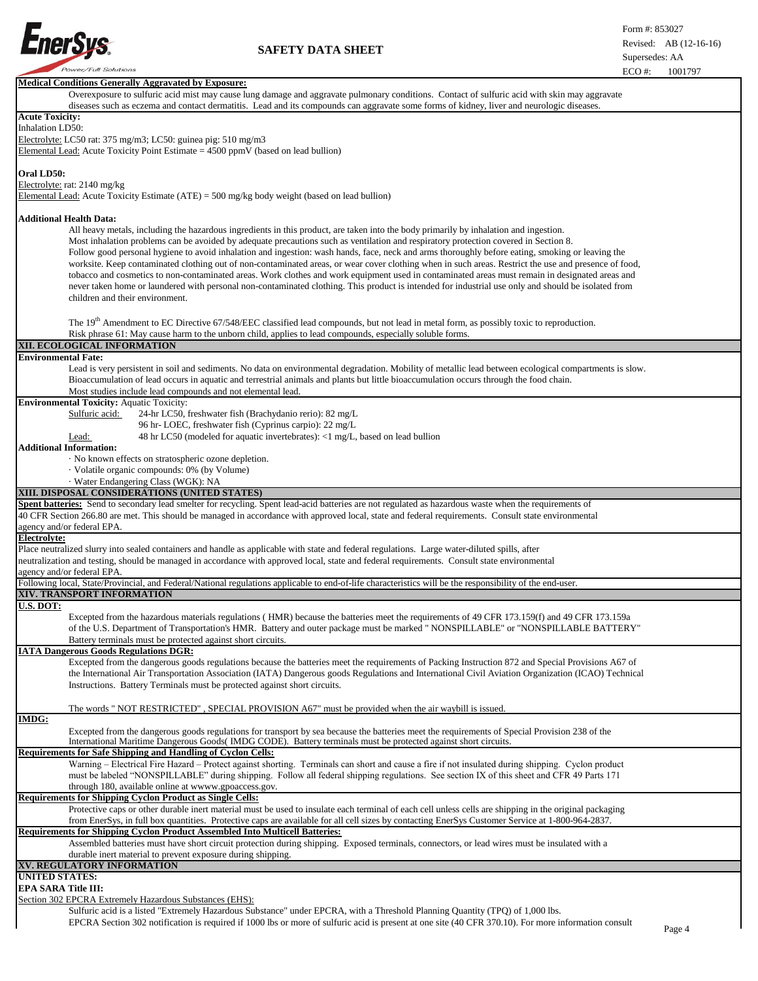

 $\overline{\phantom{a}}$ 

| LU 77.<br>1001171                                                                                                                                                                        |  |
|------------------------------------------------------------------------------------------------------------------------------------------------------------------------------------------|--|
| <b>Medical Conditions Generally Aggravated by Exposure:</b>                                                                                                                              |  |
| Overexposure to sulfuric acid mist may cause lung damage and aggravate pulmonary conditions. Contact of sulfuric acid with skin may aggravate                                            |  |
| diseases such as eczema and contact dermatitis. Lead and its compounds can aggravate some forms of kidney, liver and neurologic diseases.                                                |  |
| <b>Acute Toxicity:</b>                                                                                                                                                                   |  |
|                                                                                                                                                                                          |  |
| Inhalation LD50:                                                                                                                                                                         |  |
| Electrolyte: LC50 rat: 375 mg/m3; LC50: guinea pig: 510 mg/m3                                                                                                                            |  |
| Elemental Lead: Acute Toxicity Point Estimate $= 4500$ ppmV (based on lead bullion)                                                                                                      |  |
|                                                                                                                                                                                          |  |
| Oral LD50:                                                                                                                                                                               |  |
|                                                                                                                                                                                          |  |
| Electrolyte: rat: 2140 mg/kg                                                                                                                                                             |  |
| Elemental Lead: Acute Toxicity Estimate (ATE) = 500 mg/kg body weight (based on lead bullion)                                                                                            |  |
|                                                                                                                                                                                          |  |
| <b>Additional Health Data:</b>                                                                                                                                                           |  |
| All heavy metals, including the hazardous ingredients in this product, are taken into the body primarily by inhalation and ingestion.                                                    |  |
|                                                                                                                                                                                          |  |
| Most inhalation problems can be avoided by adequate precautions such as ventilation and respiratory protection covered in Section 8.                                                     |  |
| Follow good personal hygiene to avoid inhalation and ingestion: wash hands, face, neck and arms thoroughly before eating, smoking or leaving the                                         |  |
| worksite. Keep contaminated clothing out of non-contaminated areas, or wear cover clothing when in such areas. Restrict the use and presence of food,                                    |  |
| tobacco and cosmetics to non-contaminated areas. Work clothes and work equipment used in contaminated areas must remain in designated areas and                                          |  |
| never taken home or laundered with personal non-contaminated clothing. This product is intended for industrial use only and should be isolated from                                      |  |
|                                                                                                                                                                                          |  |
| children and their environment.                                                                                                                                                          |  |
|                                                                                                                                                                                          |  |
| The 19 <sup>th</sup> Amendment to EC Directive 67/548/EEC classified lead compounds, but not lead in metal form, as possibly toxic to reproduction.                                      |  |
|                                                                                                                                                                                          |  |
| Risk phrase 61: May cause harm to the unborn child, applies to lead compounds, especially soluble forms.                                                                                 |  |
| XII. ECOLOGICAL INFORMATION                                                                                                                                                              |  |
| <b>Environmental Fate:</b>                                                                                                                                                               |  |
| Lead is very persistent in soil and sediments. No data on environmental degradation. Mobility of metallic lead between ecological compartments is slow.                                  |  |
| Bioaccumulation of lead occurs in aquatic and terrestrial animals and plants but little bioaccumulation occurs through the food chain.                                                   |  |
|                                                                                                                                                                                          |  |
| Most studies include lead compounds and not elemental lead.                                                                                                                              |  |
| <b>Environmental Toxicity: Aquatic Toxicity:</b>                                                                                                                                         |  |
| Sulfuric acid:<br>24-hr LC50, freshwater fish (Brachydanio rerio): 82 mg/L                                                                                                               |  |
| 96 hr-LOEC, freshwater fish (Cyprinus carpio): 22 mg/L                                                                                                                                   |  |
| 48 hr LC50 (modeled for aquatic invertebrates): <1 mg/L, based on lead bullion<br>Lead:                                                                                                  |  |
|                                                                                                                                                                                          |  |
| <b>Additional Information:</b>                                                                                                                                                           |  |
| No known effects on stratospheric ozone depletion.                                                                                                                                       |  |
| · Volatile organic compounds: 0% (by Volume)                                                                                                                                             |  |
| · Water Endangering Class (WGK): NA                                                                                                                                                      |  |
| XIII. DISPOSAL CONSIDERATIONS (UNITED STATES)                                                                                                                                            |  |
|                                                                                                                                                                                          |  |
|                                                                                                                                                                                          |  |
| Spent batteries: Send to secondary lead smelter for recycling. Spent lead-acid batteries are not regulated as hazardous waste when the requirements of                                   |  |
| 40 CFR Section 266.80 are met. This should be managed in accordance with approved local, state and federal requirements. Consult state environmental                                     |  |
|                                                                                                                                                                                          |  |
| agency and/or federal EPA.                                                                                                                                                               |  |
| Electrolyte:                                                                                                                                                                             |  |
| Place neutralized slurry into sealed containers and handle as applicable with state and federal regulations. Large water-diluted spills, after                                           |  |
| neutralization and testing, should be managed in accordance with approved local, state and federal requirements. Consult state environmental                                             |  |
| agency and/or federal EPA.                                                                                                                                                               |  |
| Following local, State/Provincial, and Federal/National regulations applicable to end-of-life characteristics will be the responsibility of the end-user.                                |  |
|                                                                                                                                                                                          |  |
| XIV. TRANSPORT INFORMATION                                                                                                                                                               |  |
| U.S. DOT:                                                                                                                                                                                |  |
| Excepted from the hazardous materials regulations (HMR) because the batteries meet the requirements of 49 CFR 173.159(f) and 49 CFR 173.159a                                             |  |
| of the U.S. Department of Transportation's HMR. Battery and outer package must be marked " NONSPILLABLE" or "NONSPILLABLE BATTERY"                                                       |  |
| Battery terminals must be protected against short circuits.                                                                                                                              |  |
| <b>IATA Dangerous Goods Regulations DGR:</b>                                                                                                                                             |  |
|                                                                                                                                                                                          |  |
| Excepted from the dangerous goods regulations because the batteries meet the requirements of Packing Instruction 872 and Special Provisions A67 of                                       |  |
| the International Air Transportation Association (IATA) Dangerous goods Regulations and International Civil Aviation Organization (ICAO) Technical                                       |  |
| Instructions. Battery Terminals must be protected against short circuits.                                                                                                                |  |
|                                                                                                                                                                                          |  |
|                                                                                                                                                                                          |  |
| The words " NOT RESTRICTED", SPECIAL PROVISION A67" must be provided when the air waybill is issued.                                                                                     |  |
| <b>IMDG:</b>                                                                                                                                                                             |  |
| Excepted from the dangerous goods regulations for transport by sea because the batteries meet the requirements of Special Provision 238 of the                                           |  |
| International Maritime Dangerous Goods (IMDG CODE). Battery terminals must be protected against short circuits.                                                                          |  |
| Requirements for Safe Shipping and Handling of Cyclon Cells:                                                                                                                             |  |
| Warning – Electrical Fire Hazard – Protect against shorting. Terminals can short and cause a fire if not insulated during shipping. Cyclon product                                       |  |
|                                                                                                                                                                                          |  |
| must be labeled "NONSPILLABLE" during shipping. Follow all federal shipping regulations. See section IX of this sheet and CFR 49 Parts 171                                               |  |
| through 180, available online at wwww.gpoaccess.gov.                                                                                                                                     |  |
| <b>Requirements for Shipping Cyclon Product as Single Cells:</b>                                                                                                                         |  |
| Protective caps or other durable inert material must be used to insulate each terminal of each cell unless cells are shipping in the original packaging                                  |  |
| from EnerSys, in full box quantities. Protective caps are available for all cell sizes by contacting EnerSys Customer Service at 1-800-964-2837.                                         |  |
|                                                                                                                                                                                          |  |
| <b>Requirements for Shipping Cyclon Product Assembled Into Multicell Batteries:</b>                                                                                                      |  |
| Assembled batteries must have short circuit protection during shipping. Exposed terminals, connectors, or lead wires must be insulated with a                                            |  |
| durable inert material to prevent exposure during shipping.                                                                                                                              |  |
| XV. REGULATORY INFORMATION                                                                                                                                                               |  |
| <b>UNITED STATES:</b>                                                                                                                                                                    |  |
|                                                                                                                                                                                          |  |
| <b>EPA SARA Title III:</b>                                                                                                                                                               |  |
| Section 302 EPCRA Extremely Hazardous Substances (EHS):<br>Sulfuric acid is a listed "Extremely Hazardous Substance" under EPCRA, with a Threshold Planning Quantity (TPQ) of 1,000 lbs. |  |

EPCRA Section 302 notification is required if 1000 lbs or more of sulfuric acid is present at one site (40 CFR 370.10). For more information consult

Page 4

 $\overline{\phantom{a}}$